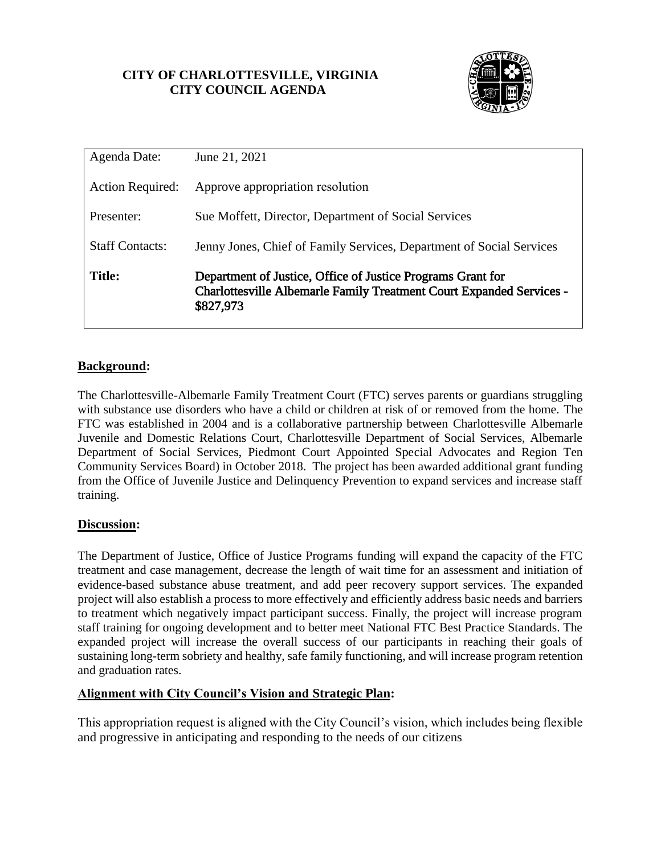# **CITY OF CHARLOTTESVILLE, VIRGINIA CITY COUNCIL AGENDA**



| Agenda Date:            | June 21, 2021                                                                                                                                           |
|-------------------------|---------------------------------------------------------------------------------------------------------------------------------------------------------|
| <b>Action Required:</b> | Approve appropriation resolution                                                                                                                        |
| Presenter:              | Sue Moffett, Director, Department of Social Services                                                                                                    |
| <b>Staff Contacts:</b>  | Jenny Jones, Chief of Family Services, Department of Social Services                                                                                    |
| <b>Title:</b>           | Department of Justice, Office of Justice Programs Grant for<br><b>Charlottesville Albemarle Family Treatment Court Expanded Services -</b><br>\$827,973 |

## **Background:**

The Charlottesville-Albemarle Family Treatment Court (FTC) serves parents or guardians struggling with substance use disorders who have a child or children at risk of or removed from the home. The FTC was established in 2004 and is a collaborative partnership between Charlottesville Albemarle Juvenile and Domestic Relations Court, Charlottesville Department of Social Services, Albemarle Department of Social Services, Piedmont Court Appointed Special Advocates and Region Ten Community Services Board) in October 2018. The project has been awarded additional grant funding from the Office of Juvenile Justice and Delinquency Prevention to expand services and increase staff training.

### **Discussion:**

The Department of Justice, Office of Justice Programs funding will expand the capacity of the FTC treatment and case management, decrease the length of wait time for an assessment and initiation of evidence-based substance abuse treatment, and add peer recovery support services. The expanded project will also establish a process to more effectively and efficiently address basic needs and barriers to treatment which negatively impact participant success. Finally, the project will increase program staff training for ongoing development and to better meet National FTC Best Practice Standards. The expanded project will increase the overall success of our participants in reaching their goals of sustaining long-term sobriety and healthy, safe family functioning, and will increase program retention and graduation rates.

## **Alignment with City Council's Vision and Strategic Plan:**

This appropriation request is aligned with the City Council's vision, which includes being flexible and progressive in anticipating and responding to the needs of our citizens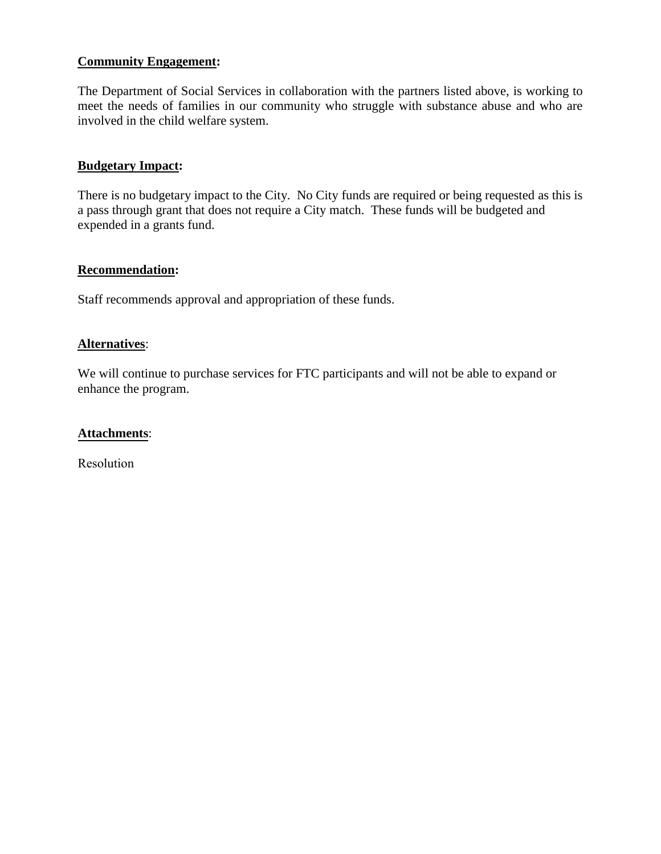### **Community Engagement:**

The Department of Social Services in collaboration with the partners listed above, is working to meet the needs of families in our community who struggle with substance abuse and who are involved in the child welfare system.

### **Budgetary Impact:**

There is no budgetary impact to the City. No City funds are required or being requested as this is a pass through grant that does not require a City match. These funds will be budgeted and expended in a grants fund.

#### **Recommendation:**

Staff recommends approval and appropriation of these funds.

#### **Alternatives**:

We will continue to purchase services for FTC participants and will not be able to expand or enhance the program.

#### **Attachments**:

Resolution